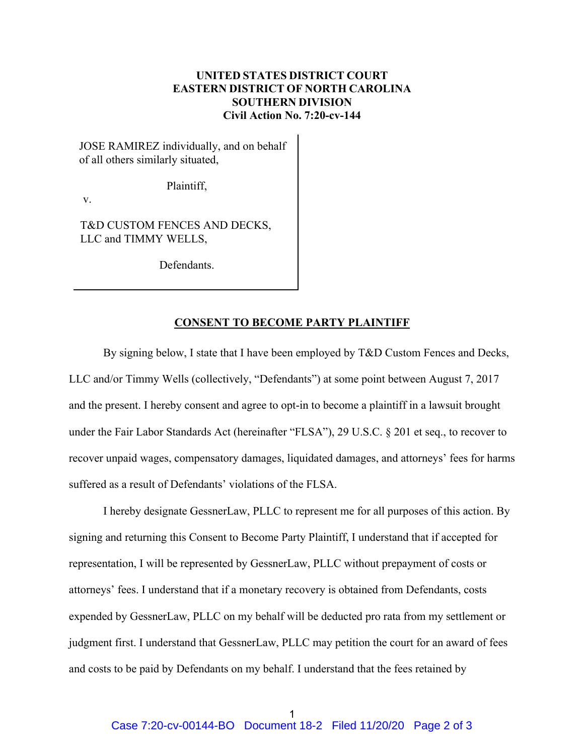## **UNITED STATES DISTRICT COURT EASTERN DISTRICT OF NORTH CAROLINA SOUTHERN DIVISION Civil Action No. 7:20-cv-144**

JOSE RAMIREZ individually, and on behalf of all others similarly situated,

Plaintiff,

v.

T&D CUSTOM FENCES AND DECKS, LLC and TIMMY WELLS,

Defendants.

## **CONSENT TO BECOME PARTY PLAINTIFF**

By signing below, I state that I have been employed by T&D Custom Fences and Decks, LLC and/or Timmy Wells (collectively, "Defendants") at some point between August 7, 2017 and the present. I hereby consent and agree to opt-in to become a plaintiff in a lawsuit brought under the Fair Labor Standards Act (hereinafter "FLSA"), 29 U.S.C. § 201 et seq., to recover to recover unpaid wages, compensatory damages, liquidated damages, and attorneys' fees for harms suffered as a result of Defendants' violations of the FLSA.

I hereby designate GessnerLaw, PLLC to represent me for all purposes of this action. By signing and returning this Consent to Become Party Plaintiff, I understand that if accepted for representation, I will be represented by GessnerLaw, PLLC without prepayment of costs or attorneys' fees. I understand that if a monetary recovery is obtained from Defendants, costs expended by GessnerLaw, PLLC on my behalf will be deducted pro rata from my settlement or judgment first. I understand that GessnerLaw, PLLC may petition the court for an award of fees and costs to be paid by Defendants on my behalf. I understand that the fees retained by